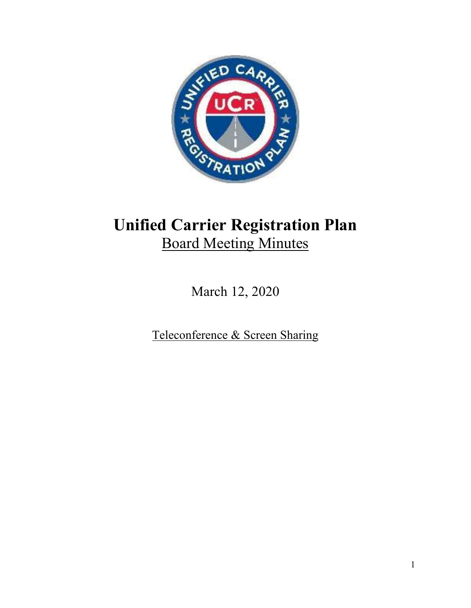

# **Unified Carrier Registration Plan**  Board Meeting Minutes

March 12, 2020

Teleconference & Screen Sharing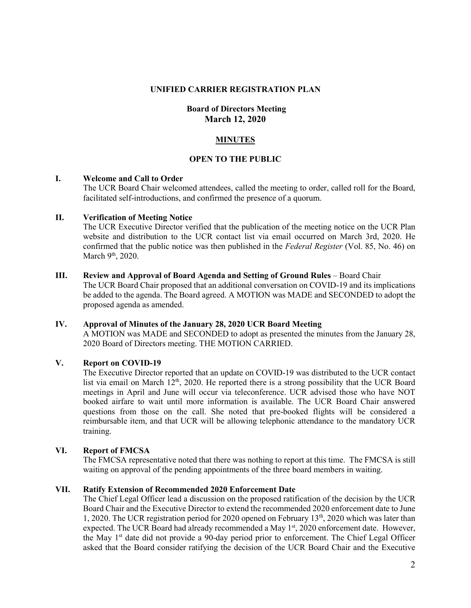#### **UNIFIED CARRIER REGISTRATION PLAN**

# **Board of Directors Meeting March 12, 2020**

## **MINUTES**

# **OPEN TO THE PUBLIC**

#### **I. Welcome and Call to Order**

The UCR Board Chair welcomed attendees, called the meeting to order, called roll for the Board, facilitated self-introductions, and confirmed the presence of a quorum.

#### **II. Verification of Meeting Notice**

The UCR Executive Director verified that the publication of the meeting notice on the UCR Plan website and distribution to the UCR contact list via email occurred on March 3rd, 2020. He confirmed that the public notice was then published in the *Federal Register* (Vol. 85, No. 46) on March 9<sup>th</sup>, 2020.

#### **III. Review and Approval of Board Agenda and Setting of Ground Rules** – Board Chair

The UCR Board Chair proposed that an additional conversation on COVID-19 and its implications be added to the agenda. The Board agreed. A MOTION was MADE and SECONDED to adopt the proposed agenda as amended.

#### **IV. Approval of Minutes of the January 28, 2020 UCR Board Meeting**

A MOTION was MADE and SECONDED to adopt as presented the minutes from the January 28, 2020 Board of Directors meeting. THE MOTION CARRIED.

# **V. Report on COVID-19**

The Executive Director reported that an update on COVID-19 was distributed to the UCR contact list via email on March  $12<sup>th</sup>$ , 2020. He reported there is a strong possibility that the UCR Board meetings in April and June will occur via teleconference. UCR advised those who have NOT booked airfare to wait until more information is available. The UCR Board Chair answered questions from those on the call. She noted that pre-booked flights will be considered a reimbursable item, and that UCR will be allowing telephonic attendance to the mandatory UCR training.

# **VI. Report of FMCSA**

The FMCSA representative noted that there was nothing to report at this time. The FMCSA is still waiting on approval of the pending appointments of the three board members in waiting.

# **VII. Ratify Extension of Recommended 2020 Enforcement Date**

The Chief Legal Officer lead a discussion on the proposed ratification of the decision by the UCR Board Chair and the Executive Director to extend the recommended 2020 enforcement date to June 1, 2020. The UCR registration period for 2020 opened on February 13th, 2020 which was later than expected. The UCR Board had already recommended a May 1<sup>st</sup>, 2020 enforcement date. However, the May  $1<sup>st</sup>$  date did not provide a 90-day period prior to enforcement. The Chief Legal Officer asked that the Board consider ratifying the decision of the UCR Board Chair and the Executive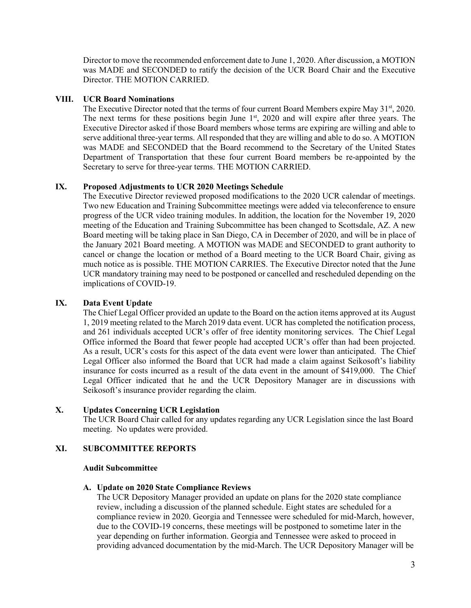Director to move the recommended enforcement date to June 1, 2020. After discussion, a MOTION was MADE and SECONDED to ratify the decision of the UCR Board Chair and the Executive Director. THE MOTION CARRIED.

# **VIII. UCR Board Nominations**

The Executive Director noted that the terms of four current Board Members expire May 31<sup>st</sup>, 2020. The next terms for these positions begin June  $1<sup>st</sup>$ , 2020 and will expire after three years. The Executive Director asked if those Board members whose terms are expiring are willing and able to serve additional three-year terms. All responded that they are willing and able to do so. A MOTION was MADE and SECONDED that the Board recommend to the Secretary of the United States Department of Transportation that these four current Board members be re-appointed by the Secretary to serve for three-year terms. THE MOTION CARRIED.

# **IX. Proposed Adjustments to UCR 2020 Meetings Schedule**

The Executive Director reviewed proposed modifications to the 2020 UCR calendar of meetings. Two new Education and Training Subcommittee meetings were added via teleconference to ensure progress of the UCR video training modules. In addition, the location for the November 19, 2020 meeting of the Education and Training Subcommittee has been changed to Scottsdale, AZ. A new Board meeting will be taking place in San Diego, CA in December of 2020, and will be in place of the January 2021 Board meeting. A MOTION was MADE and SECONDED to grant authority to cancel or change the location or method of a Board meeting to the UCR Board Chair, giving as much notice as is possible. THE MOTION CARRIES. The Executive Director noted that the June UCR mandatory training may need to be postponed or cancelled and rescheduled depending on the implications of COVID-19.

# **IX. Data Event Update**

The Chief Legal Officer provided an update to the Board on the action items approved at its August 1, 2019 meeting related to the March 2019 data event. UCR has completed the notification process, and 261 individuals accepted UCR's offer of free identity monitoring services. The Chief Legal Office informed the Board that fewer people had accepted UCR's offer than had been projected. As a result, UCR's costs for this aspect of the data event were lower than anticipated. The Chief Legal Officer also informed the Board that UCR had made a claim against Seikosoft's liability insurance for costs incurred as a result of the data event in the amount of \$419,000. The Chief Legal Officer indicated that he and the UCR Depository Manager are in discussions with Seikosoft's insurance provider regarding the claim.

# **X. Updates Concerning UCR Legislation**

The UCR Board Chair called for any updates regarding any UCR Legislation since the last Board meeting. No updates were provided.

# **XI. SUBCOMMITTEE REPORTS**

# **Audit Subcommittee**

# **A. Update on 2020 State Compliance Reviews**

The UCR Depository Manager provided an update on plans for the 2020 state compliance review, including a discussion of the planned schedule. Eight states are scheduled for a compliance review in 2020. Georgia and Tennessee were scheduled for mid-March, however, due to the COVID-19 concerns, these meetings will be postponed to sometime later in the year depending on further information. Georgia and Tennessee were asked to proceed in providing advanced documentation by the mid-March. The UCR Depository Manager will be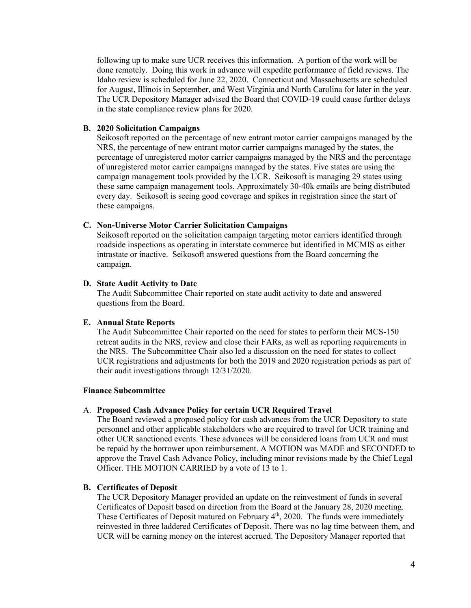following up to make sure UCR receives this information. A portion of the work will be done remotely. Doing this work in advance will expedite performance of field reviews. The Idaho review is scheduled for June 22, 2020. Connecticut and Massachusetts are scheduled for August, Illinois in September, and West Virginia and North Carolina for later in the year. The UCR Depository Manager advised the Board that COVID-19 could cause further delays in the state compliance review plans for 2020.

### **B. 2020 Solicitation Campaigns**

Seikosoft reported on the percentage of new entrant motor carrier campaigns managed by the NRS, the percentage of new entrant motor carrier campaigns managed by the states, the percentage of unregistered motor carrier campaigns managed by the NRS and the percentage of unregistered motor carrier campaigns managed by the states. Five states are using the campaign management tools provided by the UCR. Seikosoft is managing 29 states using these same campaign management tools. Approximately 30-40k emails are being distributed every day. Seikosoft is seeing good coverage and spikes in registration since the start of these campaigns.

#### **C. Non-Universe Motor Carrier Solicitation Campaigns**

Seikosoft reported on the solicitation campaign targeting motor carriers identified through roadside inspections as operating in interstate commerce but identified in MCMIS as either intrastate or inactive. Seikosoft answered questions from the Board concerning the campaign.

#### **D. State Audit Activity to Date**

The Audit Subcommittee Chair reported on state audit activity to date and answered questions from the Board.

#### **E. Annual State Reports**

The Audit Subcommittee Chair reported on the need for states to perform their MCS-150 retreat audits in the NRS, review and close their FARs, as well as reporting requirements in the NRS. The Subcommittee Chair also led a discussion on the need for states to collect UCR registrations and adjustments for both the 2019 and 2020 registration periods as part of their audit investigations through 12/31/2020.

## **Finance Subcommittee**

#### A. **Proposed Cash Advance Policy for certain UCR Required Travel**

The Board reviewed a proposed policy for cash advances from the UCR Depository to state personnel and other applicable stakeholders who are required to travel for UCR training and other UCR sanctioned events. These advances will be considered loans from UCR and must be repaid by the borrower upon reimbursement. A MOTION was MADE and SECONDED to approve the Travel Cash Advance Policy, including minor revisions made by the Chief Legal Officer. THE MOTION CARRIED by a vote of 13 to 1.

# **B. Certificates of Deposit**

The UCR Depository Manager provided an update on the reinvestment of funds in several Certificates of Deposit based on direction from the Board at the January 28, 2020 meeting. These Certificates of Deposit matured on February 4<sup>th</sup>, 2020. The funds were immediately reinvested in three laddered Certificates of Deposit. There was no lag time between them, and UCR will be earning money on the interest accrued. The Depository Manager reported that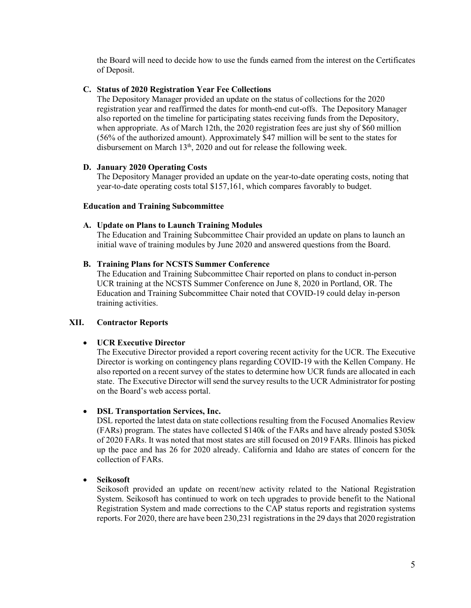the Board will need to decide how to use the funds earned from the interest on the Certificates of Deposit.

# **C. Status of 2020 Registration Year Fee Collections**

The Depository Manager provided an update on the status of collections for the 2020 registration year and reaffirmed the dates for month-end cut-offs. The Depository Manager also reported on the timeline for participating states receiving funds from the Depository, when appropriate. As of March 12th, the 2020 registration fees are just shy of \$60 million (56% of the authorized amount). Approximately \$47 million will be sent to the states for disbursement on March  $13<sup>th</sup>$ , 2020 and out for release the following week.

# **D. January 2020 Operating Costs**

The Depository Manager provided an update on the year-to-date operating costs, noting that year-to-date operating costs total \$157,161, which compares favorably to budget.

# **Education and Training Subcommittee**

# **A. Update on Plans to Launch Training Modules**

The Education and Training Subcommittee Chair provided an update on plans to launch an initial wave of training modules by June 2020 and answered questions from the Board.

# **B. Training Plans for NCSTS Summer Conference**

The Education and Training Subcommittee Chair reported on plans to conduct in-person UCR training at the NCSTS Summer Conference on June 8, 2020 in Portland, OR. The Education and Training Subcommittee Chair noted that COVID-19 could delay in-person training activities.

# **XII. Contractor Reports**

# **UCR Executive Director**

The Executive Director provided a report covering recent activity for the UCR. The Executive Director is working on contingency plans regarding COVID-19 with the Kellen Company. He also reported on a recent survey of the states to determine how UCR funds are allocated in each state. The Executive Director will send the survey results to the UCR Administrator for posting on the Board's web access portal.

# **DSL Transportation Services, Inc.**

DSL reported the latest data on state collections resulting from the Focused Anomalies Review (FARs) program. The states have collected \$140k of the FARs and have already posted \$305k of 2020 FARs. It was noted that most states are still focused on 2019 FARs. Illinois has picked up the pace and has 26 for 2020 already. California and Idaho are states of concern for the collection of FARs.

# **Seikosoft**

Seikosoft provided an update on recent/new activity related to the National Registration System. Seikosoft has continued to work on tech upgrades to provide benefit to the National Registration System and made corrections to the CAP status reports and registration systems reports. For 2020, there are have been 230,231 registrations in the 29 days that 2020 registration